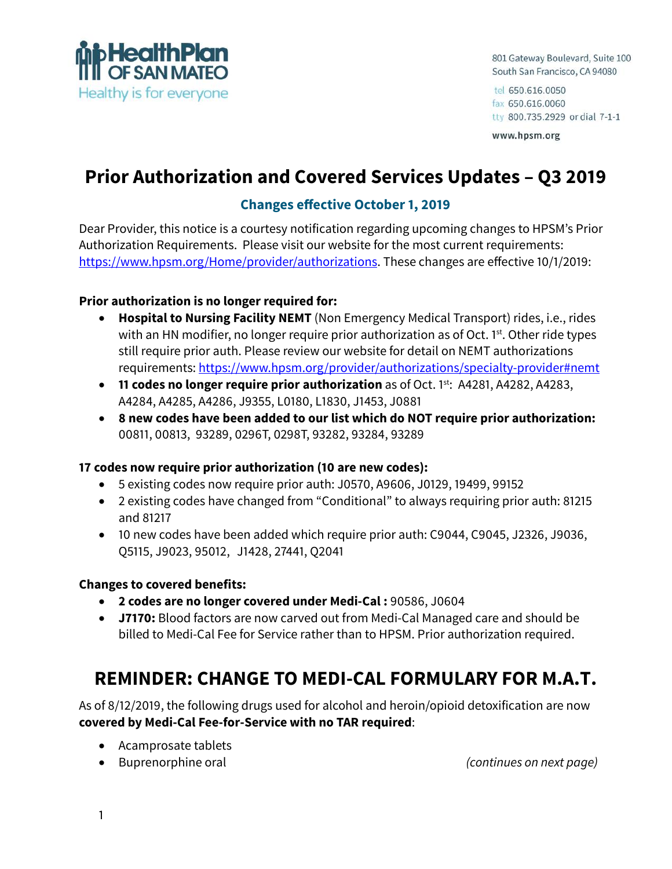

801 Gateway Boulevard, Suite 100 South San Francisco, CA 94080

tel 650.616.0050 fax 650.616.0060 tty 800.735.2929 or dial 7-1-1

www.hpsm.org

# **Prior Authorization and Covered Services Updates – Q3 2019**

## **Changes effective October 1, 2019**

Dear Provider, this notice is a courtesy notification regarding upcoming changes to HPSM's Prior Authorization Requirements. Please visit our website for the most current requirements: <https://www.hpsm.org/Home/provider/authorizations>. These changes are effective 10/1/2019:

#### **Prior authorization is no longer required for:**

- **Hospital to Nursing Facility NEMT** (Non Emergency Medical Transport) rides, i.e., rides with an HN modifier, no longer require prior authorization as of Oct.  $1<sup>st</sup>$ . Other ride types still require prior auth. Please review our website for detail on NEMT authorizations requirements:<https://www.hpsm.org/provider/authorizations/specialty-provider#nemt>
- **11 codes no longer require prior authorization** as of Oct. 1<sup>st</sup>: A4281, A4282, A4283, A4284, A4285, A4286, J9355, L0180, L1830, J1453, J0881
- **8 new codes have been added to our list which do NOT require prior authorization:**  00811, 00813, 93289, 0296T, 0298T, 93282, 93284, 93289

#### **17 codes now require prior authorization (10 are new codes):**

- 5 existing codes now require prior auth: J0570, A9606, J0129, 19499, 99152
- 2 existing codes have changed from "Conditional" to always requiring prior auth: 81215 and 81217
- 10 new codes have been added which require prior auth: C9044, C9045, J2326, J9036, Q5115, J9023, 95012, J1428, 27441, Q2041

#### **Changes to covered benefits:**

- **2 codes are no longer covered under Medi-Cal :** 90586, J0604
- **J7170:** Blood factors are now carved out from Medi-Cal Managed care and should be billed to Medi-Cal Fee for Service rather than to HPSM. Prior authorization required.

## **REMINDER: CHANGE TO MEDI-CAL FORMULARY FOR M.A.T.**

As of 8/12/2019, the following drugs used for alcohol and heroin/opioid detoxification are now **covered by Medi-Cal Fee-for-Service with no TAR required**:

- Acamprosate tablets
- 

• Buprenorphine oral *(continues on next page)*